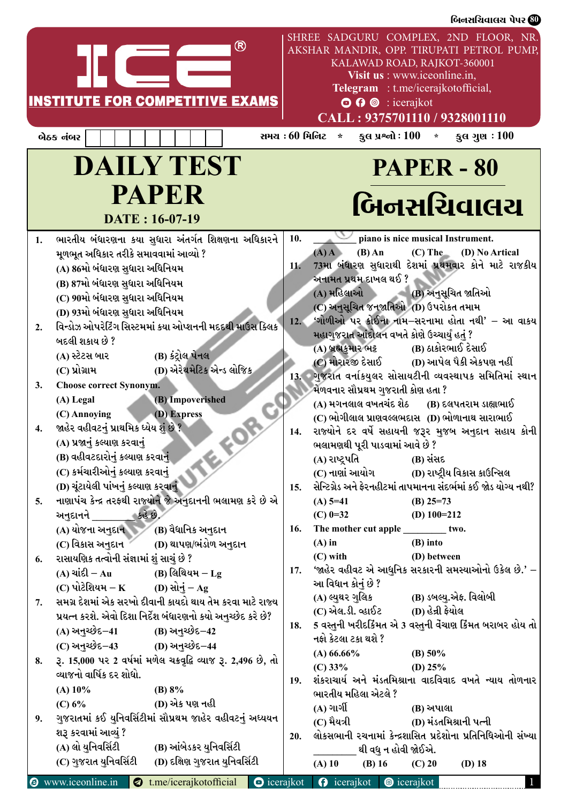| SHREE SADGURU COMPLEX, 2ND FLOOR, NR.<br>AKSHAR MANDIR, OPP. TIRUPATI PETROL PUMP,<br>KALAWAD ROAD, RAJKOT-360001<br>Visit us : www.iceonline.in,<br>Telegram : t.me/icerajkotofficial,<br><b>INSTITUTE FOR COMPETITIVE EXAMS</b><br>$\odot$ $\odot$ $\odot$ : icerajkot<br>CALL: 9375701110 / 9328001110<br>સમય : 60 મિ <b>નિટ</b> *<br>કુલ પ્રશ્નો : $100 *$<br>કુલ ગુણ $\pm 100$<br>બેઠક નંબર<br><b>DAILY TEST</b><br><b>PAPER - 80</b><br><b>PAPER</b><br>બિનસચિવાલચ<br>DATE: 16-07-19<br>ભારતીય બંધારણના કયા સુધારા અંતર્ગત શિક્ષણના અધિકારને $\mid$ 10.<br>piano is nice musical Instrument.<br>$(A)$ $A$<br>(C) The (D) No Artical<br>મૂળભૂત અધિકાર તરીકે સમાવવામાં આવ્યો ?<br>$(B)$ An<br>11. 73મા બંધારણ સુધારાથી દેશમાં પ્રથમવાર કોને માટે રાજકીય<br>(A) 86મો બંધારણ સુધારા અધિનિયમ<br>અનામત પ્રથમ દાખલ થઈ ?<br>(B) 87મો બંધારણ સુધારા અધિનિયમ<br>(A) મહિલાઓ<br>(B) અનુસૂચિત જાતિઓ<br>(C) 90મો બંધારણ સુધારા અધિનિયમ<br>(C) અનુસૂચિત જનજાતિઓ (D) ઉપરોકત તમામ<br>(D) 93મો બંધારણ સુધારા અધિનિયમ<br>12. ંગોળીઓ પર કોઈના નામ–સરનામા હોતા નથી' – આ વાકય<br>વિન્ડોઝ ઓપરેટિંગ સિસ્ટમમાં કયા ઓપ્શનની મદદથી માઉસ ક્લિક<br>મહાગુજરાત આંદોલન વખતે કોણે ઉચ્ચાર્યું હતું ?<br>બદલી શકાય છે ?<br>(A) બ્રહ્મકુમાર ભટ્ટ<br>(B) ઠાકોરભાઈ દેસાઈ<br>(B) કંટ્રોલ પેનલ<br>(A) સ્ટેટસ બાર<br>(C) મોરારજી દેસાઈ<br>(D) આપેલ પૈકી એકપણ નહીં<br>(D) એરેથમેટિક એન્ડ લોજિક<br>$(C)$ પ્રોગ્રામ<br>13. ગુજરાત વર્નાકયુલર સોસાયટીની વ્યવસ્થાપક સમિતિમાં સ્થાન<br><b>Choose correct Synonym.</b><br>3.<br>મેળવનાર સૌપ્રથમ ગુજરાતી કોણ હતા ?<br>(B) Impoverished<br>(A) Legal<br>(A) મગનલાલ વખતચંદ શેઠ (B) દલપતરામ ડાહ્યાભાઈ<br>(D) Express<br>(C) Annoying<br>$(C)$ ભોગીલાલ પ્રાણવલ્લભદાસ $(D)$ ભોળાનાથ સારાભાઈ<br>જાહેર વહીવટનું પ્રાથમિક ધ્યેય શું છે ?<br>14. રાજ્યોને દર વર્ષે સહાયની જરૂર મુજબ અનુદાન સહાય કોની<br>(A) પ્રજાનું કલ્યાણ કરવાનું<br>ભલામણથી પૂરી પાડવામાં આવે છે ?<br>(B) વહીવટદારોનું કલ્યાણ કરવાનું<br>(A) રાષ્ટ્રપતિ<br>(B) સંસદ<br>(C) કર્મચારીઓનું કલ્યાણ કરવાનું<br>(D) રાષ્ટ્રીય વિકાસ કાઉન્સિલ<br>(C) નાણાં આયોગ<br>(D) ચૂંટાયેલી પાંખનું કલ્યાણ કરવાનું<br>15. સેન્ટિગ્રેડ અને ફેરનહીટમાં તાપમાનના સંદર્ભમાં કઈ જોડ યોગ્ય નથી?<br>નાણાપંચ કેન્દ્ર તરફથી રાજ્યોને જે અનુદાનની ભલામણ કરે છે એ<br>$(A)$ 5=41<br>(B) $25=73$<br>કહે છે.<br>અનુદાનને<br>(C) $0=32$<br>(D) $100=212$<br>(B) વૈધાનિક અનુદાન<br>16. The mother cut apple<br>(A) યોજના અનુદાન<br>two.<br>$(B)$ into<br>(D) થાપણ/ભંડોળ અનુદાન<br>(C) વિકાસ અનુદાન<br>$(A)$ in<br>(D) between<br>$(C)$ with<br>રાસાયણિક તત્વોની સંજ્ઞામાં શું સાચું છે ?<br>6.<br>17. 'જાહેર વહીવટ એ આધુનિક સરકારની સમસ્યાઓનો ઉકેલ છે.' –<br>(A) ચાંદી – Au<br>(B) લિથિયમ $-\text{Lg}$<br>આ વિધાન કોનું છે ?<br>(C) પોટેશિયમ $-$ K<br>(D) સોનું $-Ag$<br>(B) ડબલ્યુ.એફ. વિલોબી<br>(A) લ્યુથર ગુલિક<br>સમગ્ર દેશમાં એક સરખો દીવાની કાયદો થાય તેમ કરવા માટે રાજ્ય<br>(C) એલ.ડી. વ્હાઈટ<br>(D) હેન્રી ફેયોલ<br>પ્રયત્ન કરશે. એવો દિશા નિર્દેશ બંધારણનો કયો અનુચ્છેદ કરે છે?<br>18. 5 વસ્તુની ખરીદર્કિંમત એ 3 વસ્તુની વેંચાણ કિંમત બરાબર હોય તો<br>(A) અનુચ્છેદ–41<br>(B) અનુચ્છેદ–42<br>નફો કેટલા ટકા થશે ?<br>(C) અનુચ્છેદ–43<br>(D) અનુચ્છેદ–44<br>$(A) 66.66\%$<br>(B) $50\%$<br>8. રૂ. 15,000 પર 2 વર્ષમાં મળેલ ચક્રવૃદ્ધિ વ્યાજ રૂ. 2,496 છે, તો<br>$(C)$ 33%<br>(D) $25%$<br>વ્યાજનો વાર્ષિક દર શોધો.<br>19. શંકરાચાર્ય અને મંડતમિશ્રાના વાદવિવાદ વખતે ન્યાય તોળનાર<br>(B) $8\%$<br>$(A)$ 10%<br>ભારતીય મહિલા એટલે ?<br>(D) એક પણ નહી<br>(C) 6%<br>$(A)$ ગાર્ગી<br>(B) અપાલા<br>ગુજરાતમાં કઈ યુનિવર્સિટીમાં સૌપ્રથમ જાહેર વહીવટનું અધ્યયન<br>(D) મંડતમિશ્રાની પત્ની<br>(C) મૈયત્રી<br>શરૂ કરવામાં આવ્યું ?<br>20. લોકસભાની રચનામાં કેન્દ્રશાસિત પ્રદેશોના પ્રતિનિધિઓની સંખ્યા<br>(A) લો યુનિવર્સિટી<br>(B) આંબેડકર યુનિવર્સિટી<br>થી વધુ ન હોવી જોઈએ. | (C) ગુજરાત યુનિવર્સિટી<br>(D) દક્ષિણ ગુજરાત યુનિવર્સિટી<br>$(A)$ 10<br>$(B)$ 16<br>$(C)$ 20<br>$(D)$ 18<br><b>O</b> icerajkot <b>O</b> icerajkot <b>@</b> icerajkot<br>$\bigcirc$ www.iceonline.in $\bigcirc$ t.me/icerajkotofficial |  |  |  |  | બિનસચિવાલચ પેપર <sup>80</sup> |  |
|-------------------------------------------------------------------------------------------------------------------------------------------------------------------------------------------------------------------------------------------------------------------------------------------------------------------------------------------------------------------------------------------------------------------------------------------------------------------------------------------------------------------------------------------------------------------------------------------------------------------------------------------------------------------------------------------------------------------------------------------------------------------------------------------------------------------------------------------------------------------------------------------------------------------------------------------------------------------------------------------------------------------------------------------------------------------------------------------------------------------------------------------------------------------------------------------------------------------------------------------------------------------------------------------------------------------------------------------------------------------------------------------------------------------------------------------------------------------------------------------------------------------------------------------------------------------------------------------------------------------------------------------------------------------------------------------------------------------------------------------------------------------------------------------------------------------------------------------------------------------------------------------------------------------------------------------------------------------------------------------------------------------------------------------------------------------------------------------------------------------------------------------------------------------------------------------------------------------------------------------------------------------------------------------------------------------------------------------------------------------------------------------------------------------------------------------------------------------------------------------------------------------------------------------------------------------------------------------------------------------------------------------------------------------------------------------------------------------------------------------------------------------------------------------------------------------------------------------------------------------------------------------------------------------------------------------------------------------------------------------------------------------------------------------------------------------------------------------------------------------------------------------------------------------------------------------------------------------------------------------------------------------------------------------------------------------------------------------------------------------------------------------------------------------------------------------------------------------------------------------------------------------------------------------------------------------------------------------------------------------------------------------------------------------------------------------------------|--------------------------------------------------------------------------------------------------------------------------------------------------------------------------------------------------------------------------------------|--|--|--|--|-------------------------------|--|
|                                                                                                                                                                                                                                                                                                                                                                                                                                                                                                                                                                                                                                                                                                                                                                                                                                                                                                                                                                                                                                                                                                                                                                                                                                                                                                                                                                                                                                                                                                                                                                                                                                                                                                                                                                                                                                                                                                                                                                                                                                                                                                                                                                                                                                                                                                                                                                                                                                                                                                                                                                                                                                                                                                                                                                                                                                                                                                                                                                                                                                                                                                                                                                                                                                                                                                                                                                                                                                                                                                                                                                                                                                                                                                       |                                                                                                                                                                                                                                      |  |  |  |  |                               |  |
|                                                                                                                                                                                                                                                                                                                                                                                                                                                                                                                                                                                                                                                                                                                                                                                                                                                                                                                                                                                                                                                                                                                                                                                                                                                                                                                                                                                                                                                                                                                                                                                                                                                                                                                                                                                                                                                                                                                                                                                                                                                                                                                                                                                                                                                                                                                                                                                                                                                                                                                                                                                                                                                                                                                                                                                                                                                                                                                                                                                                                                                                                                                                                                                                                                                                                                                                                                                                                                                                                                                                                                                                                                                                                                       |                                                                                                                                                                                                                                      |  |  |  |  |                               |  |
|                                                                                                                                                                                                                                                                                                                                                                                                                                                                                                                                                                                                                                                                                                                                                                                                                                                                                                                                                                                                                                                                                                                                                                                                                                                                                                                                                                                                                                                                                                                                                                                                                                                                                                                                                                                                                                                                                                                                                                                                                                                                                                                                                                                                                                                                                                                                                                                                                                                                                                                                                                                                                                                                                                                                                                                                                                                                                                                                                                                                                                                                                                                                                                                                                                                                                                                                                                                                                                                                                                                                                                                                                                                                                                       |                                                                                                                                                                                                                                      |  |  |  |  |                               |  |
|                                                                                                                                                                                                                                                                                                                                                                                                                                                                                                                                                                                                                                                                                                                                                                                                                                                                                                                                                                                                                                                                                                                                                                                                                                                                                                                                                                                                                                                                                                                                                                                                                                                                                                                                                                                                                                                                                                                                                                                                                                                                                                                                                                                                                                                                                                                                                                                                                                                                                                                                                                                                                                                                                                                                                                                                                                                                                                                                                                                                                                                                                                                                                                                                                                                                                                                                                                                                                                                                                                                                                                                                                                                                                                       |                                                                                                                                                                                                                                      |  |  |  |  |                               |  |
|                                                                                                                                                                                                                                                                                                                                                                                                                                                                                                                                                                                                                                                                                                                                                                                                                                                                                                                                                                                                                                                                                                                                                                                                                                                                                                                                                                                                                                                                                                                                                                                                                                                                                                                                                                                                                                                                                                                                                                                                                                                                                                                                                                                                                                                                                                                                                                                                                                                                                                                                                                                                                                                                                                                                                                                                                                                                                                                                                                                                                                                                                                                                                                                                                                                                                                                                                                                                                                                                                                                                                                                                                                                                                                       |                                                                                                                                                                                                                                      |  |  |  |  |                               |  |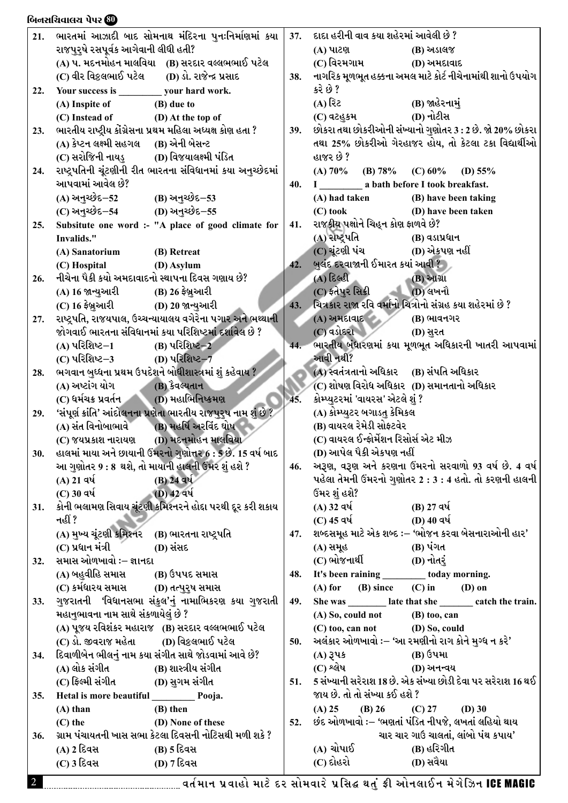|            | બિનસચિવાલચ પેપર <b>60</b>                                                                                    |         |                                                                  |
|------------|--------------------------------------------------------------------------------------------------------------|---------|------------------------------------------------------------------|
|            | 21.   ભારતમાં આઝાદી બાદ સોમનાથ મંદિરના પુનઃનિર્માણમાં કયા $\mid$ 37.   દાદા હરીની વાવ કયા શહેરમાં આવેલી છે ? |         |                                                                  |
|            | રાજપુરૃષે રસપૂર્વક આગેવાની લીધી હતી?                                                                         |         | (A) પાટણ<br>(B) અડાલજ                                            |
|            | (A) પ. મદનમોહન માલવિયા (B) સરદાર વલ્લભભાઈ પટેલ                                                               |         | (C) વિરમગામ<br>(D) અમદાવાદ                                       |
|            | (C) વીર વિકલભાઈ પટેલ<br>(D) ડો. રાજેન્દ્ર પ્રસાદ                                                             |         | 38. નાગરિક મૂળભૂત હક્કના અમલ માટે કોર્ટ નીચેનામાંથી શાનો ઉપયોગ   |
| 22.        | Your success is<br>your hard work.                                                                           |         | કરે છે ?                                                         |
|            | (A) Inspite of<br>(B) due to                                                                                 |         | $($ A) રિટ<br>(B) જાહેરનામું                                     |
|            | (C) Instead of<br>(D) At the top of                                                                          |         | (D) નોટીસ<br>(C) વટહુકમ                                          |
| 23.        | ભારતીય રાષ્ટ્રીય કોંગ્રેસના પ્રથમ મહિલા અધ્યક્ષ કોણ હતા ?                                                    |         | 39. છોકરા તથા છોકરીઓની સંખ્યાનો ગુણોતર 3 : 2 છે. જો 20% છોકરા    |
|            | (A) કેપ્ટન લક્ષ્મી સહગલ (B) એની બેસન્ટ                                                                       |         | તથા 25% છોકરીઓ ગેરહાજર હોય, તો કેટલા ટકા વિદ્યાર્થીઓ             |
|            | (C) સરોજિની નાયડ્<br>(D) વિજયાલક્ષ્મી પંડિત                                                                  |         | હાજર છે ?                                                        |
|            | 24. રાષ્ટ્રપતિની ચૂંટણીની રીત ભારતના સંવિધાનમાં કયા અનુચ્છેદમાં                                              |         | (A) 70%<br>(B) $78%$<br>$(C)$ 60%<br>(D) $55\%$                  |
|            | આપવામાં આવેલ છે?                                                                                             | $40.$ I | a bath before I took breakfast.                                  |
|            | $(A)$ અનુચ્છેદ $-52$<br>(B) અનુચ્છેદ–53                                                                      |         | (A) had taken<br>(B) have been taking                            |
|            |                                                                                                              |         |                                                                  |
|            | (C) અનુચ્છેદ–54<br>(D) અનુચ્છેદ–55                                                                           |         | $(C)$ took<br>(D) have been taken                                |
| 25.        | Subsitute one word :- "A place of good climate for   41. રાજકીય પક્ષોને ચિહ્ન કોણ ફાળવે છે?                  |         |                                                                  |
|            | Invalids."                                                                                                   |         | (A) રાષ્ટ્રપતિ<br>(B) વડાપ્રધાન                                  |
|            | (B) Retreat<br>(A) Sanatorium                                                                                |         | $(C)$ ચૂંટણી પંચ<br>(D) એકપણ નહીં                                |
|            | (C) Hospital<br>(D) Asylum                                                                                   |         | 42. બુલંદ દરવાજાની ઈમારત કયાં આવી ?                              |
| 26.        | નીચેના પૈકી કયો અમદાવાદનો સ્થાપના દિવસ ગણાય છે?                                                              |         | $(A)$ દિલ્હી<br>(B) આગ્રા                                        |
|            | (B) 26 <del>ફે</del> બ્રુઆરી<br>(A) 16 જાન્યુઆરી                                                             |         | (C) ફતેપુર સિક્રી<br>(D) લખનૌ                                    |
|            | $(C)$ 16 ફેબ્રુઆરી<br>(D) 20 જાન્યુઆરી                                                                       |         | 43. ચિત્રકાર રાજા રવિ વર્માનો ચિત્રોનો સંગ્રહ કયા શહેરમાં છે ?   |
|            | 27. રાષ્ટ્રપતિ, રાજયપાલ, ઉચ્ચન્યાયાલય વગેરેના પગાર અને ભથ્થાની                                               |         | $(A)$ અમદાવાદ $\overline{A}$<br>(B) ભાવનગર                       |
|            | જોગવાઈ ભારતના સંવિધાનમાં કયા પરિશિષ્ટમાં દર્શાવેલ છે ?                                                       |         | $(C)$ વડોદરા<br>(D) સુરત                                         |
|            | (A) પરિશિષ્ટ $-1$<br>(B) પરિશિષ્ટ–2                                                                          |         | 44. ભારતીય બંધારણમાં કયા મૂળભૂત અધિકારની ખાતરી આપવામાં           |
|            | (C) પરિશિષ્ટ $-3$<br>(D) પરિશિષ્ટ <i>–</i> 7                                                                 |         | આવી નથી?                                                         |
| 28.        | ભગવાન બુઘ્ધના પ્રથમ ઉપદેશને બોધીશાસ્ત્રમાં શું કહેવાય ?                                                      |         | (A) સ્વતંત્રતાનો અધિકાર (B) સંપતિ અધિકાર                         |
|            | (A) અષ્ટાંગ યોગ<br>(B) કેવલ્યતાન                                                                             |         | (C) શોષણ વિરોધ અધિકાર (D) સમાનતાનો અધિકાર                        |
|            | (D) મહાભિનિષ્ક્રમણ<br>(C) ધર્મચક્ર પ્રવર્તન <b>ુ</b>                                                         |         | કોમ્પ્યુટરમાં 'વાયરસ' એટલે શું ?                                 |
| 29.        | 'સંપૂર્ણ ક્રાંતિ' આંદોલનના પ્રણેતા ભારતીય રાજપુરુષ નામ શું છે ?                                              |         | (A) કોમ્પ્યુટર બગાડતુ કેમિકલ                                     |
|            | (B) મહર્ષિ અરવિંદ ઘોષ<br>(A) સંત વિનોબાભાવે                                                                  |         | (B) વાયરલ રેમેડી સોફ્ટવેર                                        |
|            | (D) મદનમોહન માલવિયા<br>(C) જયપ્રકાશ નારાયણ                                                                   |         | (C) વાયરલ ઈન્ફોર્મેશન રિસોર્સ એટ મીઝ                             |
|            | 30. હાલમાં માયા અને છાયાની ઉંમરનો ગુણોત્તર 6 : 5 છે. 15 વર્ષ બાદ                                             |         | (D) આપેલ પૈકી એકપણ નહીં                                          |
|            | આ ગુણોતર 9 : 8 થશે, તો માયાની હાલની ઉંમર શું હશે ?                                                           |         | 46. અરૂણ, વરૂણ અને કરણના ઉંમરનો સરવાળો 93 વર્ષ છે. 4 વર્ષ        |
|            | $(A)$ 21 વર્ષ<br>$(B)$ 24 વર્ષ                                                                               |         | પહેલા તેમની ઉંમરનો ગુણોતર 2 : 3 : 4 હતો. તો કરણની હાલની          |
|            | (D) 42 વર્ષ                                                                                                  |         |                                                                  |
|            | $(C)$ 30 વર્ષ                                                                                                |         | ઉંમર શું હશે?                                                    |
|            | 31. કોની ભલામણ સિવાય ચૂંટણી કમિશ્નરને હોદ્દા પરથી દૂર કરી શકાય                                               |         | (B) 27 વર્ષ<br>$(A)$ 32 વર્ષ                                     |
|            | નહીં ?                                                                                                       |         | (D) 40 વર્ષ<br>(C) 45 વર્ષ                                       |
|            | (A) મુખ્ય ચૂંટણી કમિશ્નર (B) ભારતના રાષ્ટ્રપતિ                                                               |         | 47. શબ્દસમૂહ માટે એક શબ્દ :– 'ભોજન કરવા બેસનારાઓની હાર'          |
|            | (C) પ્રધાન મંત્રી<br>(D) સંસદ                                                                                |         | (B) પંગત<br>(A) સમૂહ                                             |
| 32.        | સમાસ ઓળખાવો :– જ્ઞાનદા                                                                                       |         | (C) ભોજનાર્થી<br>(D) નોતરું                                      |
|            | (A) બહુવીહિ સમાસ<br>(B) ઉપપદ સમાસ                                                                            |         | 48. It's been raining<br>today morning.                          |
|            | (C) કર્મધારય સમાસ<br>(D) તત્પુરૃષ સમાસ                                                                       |         | $(A)$ for $(B)$ since<br>$(C)$ in<br>$(D)$ on                    |
| <b>33.</b> | ્ગુજરાતની 'વિધાનસભા સંકુલ'નું નામાભિકરણ કયા ગુજરાતી   49. She was <u>J</u>                                   |         | late that she<br>catch the train.                                |
|            | મહાનુભાવના નામ સાથે સંકળાયેલું છે ?                                                                          |         | (A) So, could not<br>$(B)$ too, can                              |
|            | (A) પૂજય રવિશંકર મહારાજ (B) સરદાર વલ્લભભાઈ પટેલ                                                              |         | $(C)$ too, can not<br>(D) So, could                              |
|            | (C) ડો. જીવરાજ મહેતા<br>(D) વિકલભાઈ પટેલ                                                                     |         | 50. અલંકાર ઓળખાવો :– 'આ રમણીનો રાગ કોને મુગ્ધ ન કરે'             |
|            | 34. દિવાળીબેન ભીલનું નામ કયા સંગીત સાથે જોડવામાં આવે છે?                                                     |         | (B) ઉપમા<br>$(A)$ રૂપક                                           |
|            | (A) લોક સંગીત<br>(B) શાસ્ત્રીય સંગીત                                                                         |         | $(C)$ શ્લેષ<br>(D) અનન્વય                                        |
|            | (C) ફિલ્મી સંગીત<br>(D) સુગમ સંગીત                                                                           |         | 51. 5 સંખ્યાની સરેરાશ 18 છે. એક સંખ્યા છોડી દેવા પર સરેરાશ 16 થઈ |
|            | 35. Hetal is more beautiful<br>Pooja.                                                                        |         | જાય છે. તો તો સંખ્યા કઈ હશે ?                                    |
|            | (B) then<br>$(A)$ than                                                                                       |         | $(B)$ 26<br>$(C)$ 27<br>(A) 25<br>$(D)$ 30                       |
|            | (D) None of these<br>$(C)$ the                                                                               |         | 52. છંદ ઓળખાવો :– 'ભણતાં પંડિત નીપજે, લખતાં લહિયો થાય            |
|            | 36. ગ્રામ પંચાયતની ખાસ સભા કેટલા દિવસની નોટિસથી મળી શકે ?                                                    |         | ચાર ચાર ગાઉ ચાલતાં, લાંબો પંથ કપાય'                              |
|            | (A) 2 દિવસ<br>(B) 5 દિવસ                                                                                     |         | (A) ચોપાઈ<br>(B) હરિગીત                                          |
|            |                                                                                                              |         | (C) દોહરો<br>(D) સવૈયા                                           |
|            | (C) 3 દિવસ<br>(D) 7 દિવસ                                                                                     |         |                                                                  |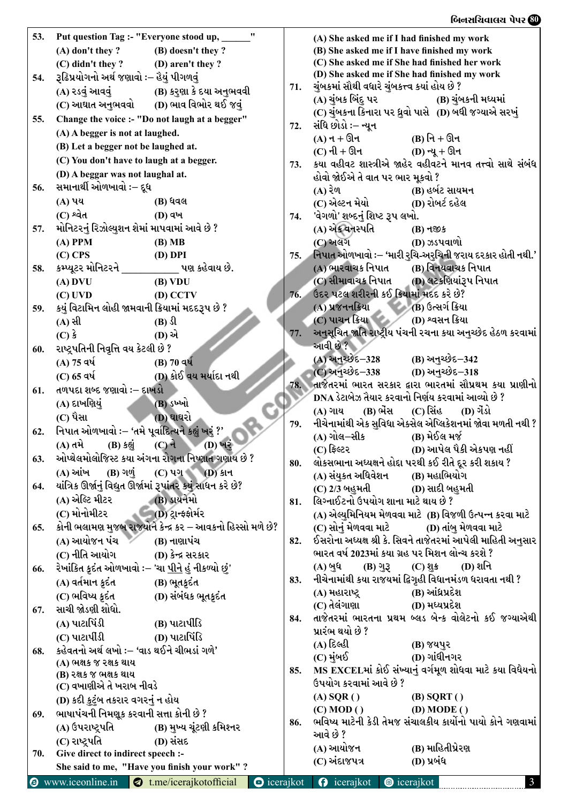## $\log_{10} \log_{10} \log_{10} \log_{10} \log_{10} \log_{10} \log_{10} \log_{10} \log_{10} \log_{10} \log_{10} \log_{10} \log_{10} \log_{10} \log_{10} \log_{10} \log_{10} \log_{10} \log_{10} \log_{10} \log_{10} \log_{10} \log_{10} \log_{10} \log_{10} \log_{10} \log_{10} \log_{10} \log_{10} \log_{10} \log_{10} \log_{10} \log_{10} \log_{10} \log_{10} \log_{10} \log_{$

| 53. | Put question Tag :- "Everyone stood up,                                    |                     | (A) She asked me if I had finished my work                                                                   |
|-----|----------------------------------------------------------------------------|---------------------|--------------------------------------------------------------------------------------------------------------|
|     | $(A)$ don't they? $(B)$ doesn't they?                                      |                     | (B) She asked me if I have finished my work                                                                  |
|     | $(C)$ didn't they? (D) aren't they?                                        |                     | (C) She asked me if She had finished her work                                                                |
| 54. | રૂઢિપ્રયોગનો અર્થ જણાવો :– હૈયું પીગળવું                                   |                     | (D) She asked me if She had finished my work                                                                 |
|     | (A) રડવું આવવું (B) કરુણા કે દયા અનુભવવી                                   | 71.                 | ચુંબકમાં સૌથી વધારે ચુંબકત્ત્વ કયાં હોય છે ?                                                                 |
|     | (C) આઘાત અનુભવવો (D) ભાવ વિભોર થઈ જવું                                     |                     |                                                                                                              |
| 55. | Change the voice :- "Do not laugh at a begger"                             |                     | (C) ચુંબકના કિનારા પર ધ્રુવો પાસે (D) બધી જગ્યાએ સરખું                                                       |
|     | (A) A begger is not at laughed.                                            | 72.                 | સંધિ છોડો ઃ– ન્યૂન                                                                                           |
|     |                                                                            |                     | (A) ન + ઊન<br>(B) નિ + ઊન                                                                                    |
|     | (B) Let a begger not be laughed at.                                        |                     | (C) ની + ઊન (D) ન્યૂ + ઊન                                                                                    |
|     | (C) You don't have to laugh at a begger.                                   | 73.                 | કયા વહીવટ શાસ્ત્રીએ જાહેર વહીવટને માનવ તત્ત્વો સાથે સંબંધ                                                    |
|     | (D) A beggar was not laughal at.                                           |                     | હોવો જોઈએ તે વાત પર ભાર મૂકવો ?                                                                              |
| 56. | સમાનાર્થી ઓળખાવો :– દૂધ                                                    |                     | (B) હર્બટ સાયમન<br>(A) રેળ                                                                                   |
|     | (B) ધવલ<br>(A) પય                                                          |                     | (C) એલ્ટન મેયો (D) રોબર્ટ દહેલ                                                                               |
|     | $(C)$ શ્વેત<br><b>(D)</b> વખ                                               | 74.                 | 'વેગળો' શબ્દનું શિષ્ટ રૂપ લખો.                                                                               |
| 57. | મોનિટરનું રિઝોલ્યુશન શેમાં માપવામાં આવે છે ?                               |                     | (A) એક વનસ્પતિ<br>(B) નજીક                                                                                   |
|     | $(A)$ PPM<br>(B) MB                                                        |                     | (C) અલગ<br>(D) ઝડપવાળો                                                                                       |
|     | $(C)$ CPS<br>$(D)$ DPI                                                     | 75.                 | નિપાત ઓળખાવો :– 'મારી રુચિ-અરુચિની જરાય દરકાર હોતી નથી.'                                                     |
| 58. | કમ્પ્યૂટર મોનિટરને __________ પણ કહેવાય છે.                                |                     | (A) ભારવાચક નિપાત (B) વિનયવાચક નિપાત                                                                         |
|     | $(A)$ DVU<br>(B) VDU                                                       |                     | (C) સીમાવાચક નિપાત (D) લટકશિયાંરૂપ નિપાત                                                                     |
|     | $(C)$ UVD<br>$(D)$ CCTV                                                    | 76.                 | ઉદર પટલ શરીરની કઈ ક્રિયામાં મદદ કરે છે?                                                                      |
| 59. | કયું વિટામિન લોહી જામવાની ક્રિયામાં મદદરૂપ છે ?                            |                     | (A) પ્રજનનક્રિયા (B) ઉત્સર્ગ ક્રિયા                                                                          |
|     | (A) સી<br>$(B)$ $\Omega$                                                   |                     | (C) પાચન ક્રિયા (D) શ્વસન ક્રિયા                                                                             |
|     | $(C)$ કે<br>(D) એ                                                          | 77.                 | અનુસૂચિત જાતિ રાષ્ટ્રીય પંચની રચના કયા અનુચ્છેદ હેઠળ કરવામાં                                                 |
| 60. | રાષ્ટ્રપતિની નિવૃત્તિ વય કેટલી છે ?                                        |                     | આવી છે ?                                                                                                     |
|     | (A) 75 વર્ષ (B) 70 વર્ષ                                                    |                     | (A) અનુચ્છેદ–328 (B) અનુચ્છેદ–342                                                                            |
|     | (D) કોઈ વય મર્યાદા નથી<br>(C) 65 वर्ष                                      |                     | (C) અનુચ્છેદ-338 (D) અનુચ્છેદ-318                                                                            |
| 61. | તળપદા શબ્દ જણાવો :– દાખડો                                                  | 78.                 | તાજેતરમાં ભારત સરકાર દ્વારા ભારતમાં સૌપ્રથમ કયા પ્રાણીનો                                                     |
|     | (A) દાખણિયું<br>(B) ડખ્ખો                                                  |                     | DNA ડેટાબેઝ તૈયાર કરવાનો નિર્ણય કરવામાં આવ્યો છે ?                                                           |
|     | (D) ઘાઘરો<br>(C) પૈસા                                                      |                     | (A) ગાય (B) ભેંસ (C) સિંહ (D) ગેંડો                                                                          |
| 62. | નિપાત ઓળખાવો :– 'તમે પૂર્વાદિત્યને કહ્યું ખરું ?'                          | 79.                 | નીચેનામાંથી એક સુવિધા એક્સેલ એપ્લિકેશનમાં જોવા મળતી નથી ?                                                    |
|     | (B) કહ્યું<br>$(C)$ ને<br>$(D)$ ખરં<br>(A) તમે                             |                     | (A) ગોલ–સીક<br>(B) મેઈલ મર્જ                                                                                 |
|     | 63. ઓપ્થેલમોલોજિસ્ટ કયા અંગના રોગના નિષ્ણાત ગણાય છે ?                      |                     | (C) ફિલ્ટર<br>(D) આપેલ પૈકી એકપણ નહીં                                                                        |
|     | $(A)$ આંખ<br>$(B)$ ગળું<br>(C) ਪગ (D) કાન                                  | 80.                 | લોકસભાના અધ્યક્ષને હોદ્દા પરથી કઈ રીતે દૂર કરી શકાય ?                                                        |
| 64. | યાંત્રિક ઊર્જાનું વિદ્યુત ઊર્જામાં રૂપાંતર કયું સાધન કરે છે?               |                     | (A) સંયુકત અધિવેશન<br>(B) મહાભિયોગ                                                                           |
|     | (A) એલ્ટિ મીટર<br>(B) ડાયનેમો                                              |                     | (C) 2/3 બહુમતી<br>(D) સાદી બહુમતી                                                                            |
|     | (C) મોનોમીટર<br>- (D) ટ્ર <del>ાન્ફ</del> ફોર્મર                           | 81.                 | લિગ્નાઈટનો ઉપયોગ શાના માટે થાય છે ?                                                                          |
|     |                                                                            |                     | (A) એલ્યુમિનિયમ મેળવવા માટે  (B) વિજળી ઉત્પન્ન કરવા માટે<br>(D) તાંબ મેળવવા માટે                             |
| 65. | કોની ભલામણ મુજબ રાજયોને કેન્દ્ર કર – આવકનો હિસ્સો મળે છે?<br>(A) આયોજન પંચ |                     | (C) સોનું મેળવવા માટે<br>ઈસરોના અધ્યક્ષ શ્રી કે. સિવને તાજેતરમાં આપેલી માહિતી અનુસાર                         |
|     | (B) નાણાપંચ                                                                | 82.                 | ભારત વર્ષ 2023માં કયા ગ્રહ પર મિશન લોન્ચ કરશે ?                                                              |
|     | (C) નીતિ આયોગ<br>$(D)$ કેન્દ્ર સરકાર                                       |                     |                                                                                                              |
| 66. | રેખાંકિત ક્રદંત ઓળખાવો ઃ– 'ચા <u>પીને</u> હું નીકળ્યો છું'                 |                     | (A) બુધ<br>$(D)$ શનિ<br>$(C)$ શુક્ર<br>$(B)$ ગુરૂ<br>નીચેનામાંથી કયા રાજયમાં દ્વિગૃહી વિધાનમંડળ ધરાવતા નથી ? |
|     | (A) વર્તમાન કુદંત<br>(B) ભૂતકુદંત                                          | 83.                 | (B) આંધ્રપ્રદેશ<br>(A) મહારાષ્ટ્ર                                                                            |
|     | (C) ભવિષ્ય કુદંત<br>(D) સંબંધક ભૂતક્રદંત                                   |                     | (C) તેલંગાણા<br>(D) મધ્યપ્રદેશ                                                                               |
| 67. | સાચી જોડણી શોધો.                                                           | 84.                 | તાજેતરમાં ભારતના પ્રથમ બ્લડ બેન્ક વોલેટનો કઈ જગ્યાએથી                                                        |
|     | (A) પાટાપિંડી<br>$(B)$ પાટાર્પીડિ                                          |                     | પ્રારંભ થયો છે ?                                                                                             |
|     | (C) પાટાપીંડી<br>(D) પાટાપિંડિ                                             |                     | (A) દિલ્હી<br>(B) જયપુર                                                                                      |
| 68. | કહેવતનો અર્થ લખો :– 'વાડ થઈને ચીભડાં ગળે'                                  |                     | (D) ગાંધીનગર<br>(C) મુંબઈ                                                                                    |
|     | (A) ભક્ષક જ રક્ષક થાય                                                      | 85.                 | MS EXCELમાં કોઈ સંખ્યાનું વર્ગમૂળ શોધવા માટે કયા વિધેયનો                                                     |
|     | (B) રક્ષક જ ભક્ષક થાય                                                      |                     | ઉપયોગ કરવામાં આવે છે ?                                                                                       |
|     | (C) વખાણીએ તે ખરાબ નીવડે                                                   |                     | $(A)$ SQR $()$<br>$(B)$ SQRT $()$                                                                            |
|     | (D) કદી કુટુંબ તકરાર વગરનું ન હોય                                          |                     | (C) MOD()<br>(D) MODEL()                                                                                     |
| 69. | ભાષાપંચની નિમણૂક કરવાની સત્તા કોની છે ?                                    | 86.                 | ભવિષ્ય માટેની કેડી તેમજ સંચાલકીય કાર્યોનો પાયો કોને ગણવામાં                                                  |
|     | (A) ઉપરાષ્ટ્રપતિ<br>(B) મુખ્ય ચૂંટણી કમિશ્નર                               |                     | આવે છે ?                                                                                                     |
|     | (C) રાષ્ટ્રપતિ<br>(D) સંસદ                                                 |                     | (B) માહિતીપ્રેરણ<br>(A) આયોજન                                                                                |
| 70. | Give direct to indirect speech :-                                          |                     | (C) અંદાજપત્ર<br>(D) પ્રબંધ                                                                                  |
|     | She said to me, "Have you finish your work"?                               |                     |                                                                                                              |
|     | <b>E</b> www.iceonline.in<br>$\bullet$ t.me/icerajkotofficial              | $\bullet$ icerajkot | $\theta$ icerajkot<br><b>@</b> icerajkot<br>$\mathbf{3}$                                                     |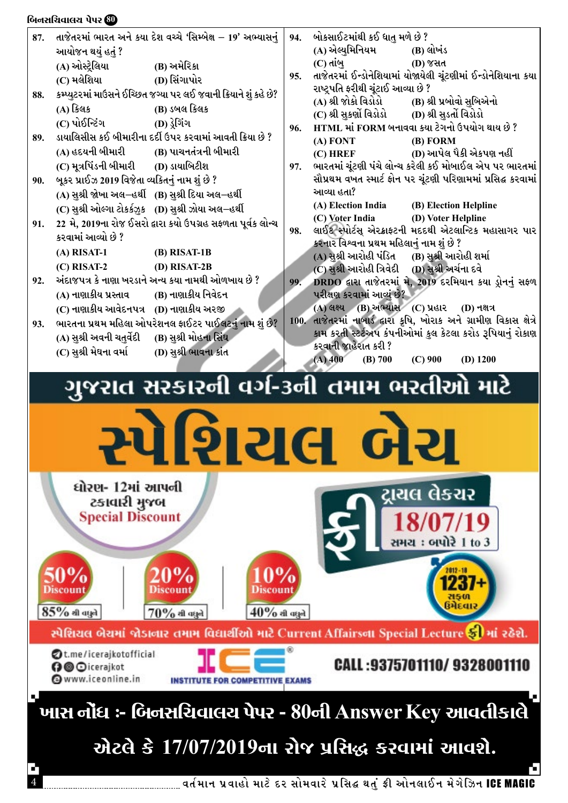